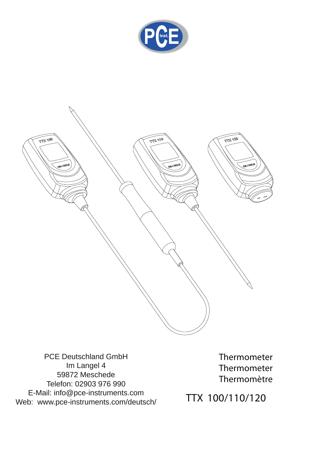



PCE Deutschland GmbH Im Langel 4 59872 Meschede Telefon: 02903 976 990 E-Mail: info@pce-instruments.com Web: www.pce-instruments.com/deutsch/ Thermometer Thermometer Thermomètre

**TTX 100/110/120**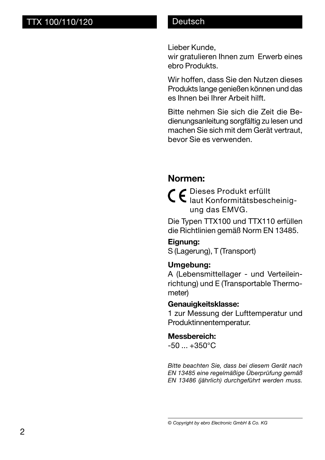#### Deutsch

Lieber Kunde,

wir gratulieren Ihnen zum Erwerb eines ebro Produkts.

Wir hoffen, dass Sie den Nutzen dieses Produkts lange genießen können und das es Ihnen bei Ihrer Arbeit hilft.

Bitte nehmen Sie sich die Zeit die Bedienungsanleitung sorgfältig zu lesen und machen Sie sich mit dem Gerät vertraut, bevor Sie es verwenden.

### **Normen:**

C

Dieses Produkt erfüllt



Die Typen TTX100 und TTX110 erfüllen die Richtlinien gemäß Norm EN 13485.

### **Eignung:**

S (Lagerung), T (Transport)

#### **Umgebung:**

A (Lebensmittellager - und Verteileinrichtung) und E (Transportable Thermometer)

#### **Genauigkeitsklasse:**

1 zur Messung der Lufttemperatur und Produktinnentemperatur.

#### **Messbereich:**

 $-50 + 350^{\circ}$ C

*Bitte beachten Sie, dass bei diesem Gerät nach EN 13485 eine regelmäßige Überprüfung gemäß EN 13486 (jährlich) durchgeführt werden muss.*

*© Copyright by ebro Electronic GmbH & Co. KG*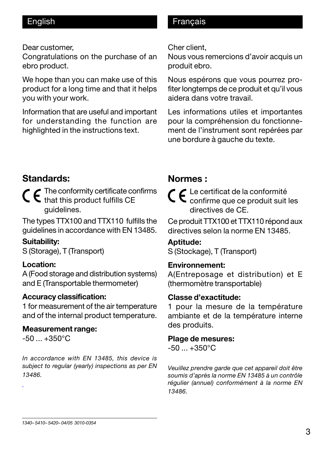#### Dear customer,

Congratulations on the purchase of an ebro product.

We hope than you can make use of this product for a long time and that it helps you with your work.

Information that are useful and important for understanding the function are highlighted in the instructions text.

#### English **Français Français**

Cher client,

Nous vous remercions d'avoir acquis un produit ebro.

Nous espérons que vous pourrez profiter longtemps de ce produit et qu'il vous aidera dans votre travail.

Les informations utiles et importantes pour la compréhension du fonctionnement de l'instrument sont repérées par une bordure à gauche du texte.

### **Standards:**

The conformity certificate confirms that this product fulfills CE guidelines.

The types TTX100 and TTX110 fulfills the guidelines in accordance with EN 13485.

**Suitability:** S (Storage), T (Transport)

#### **Location:**

A (Food storage and distribution systems) and E (Transportable thermometer)

#### **Accuracy classification:**

1 for measurement of the air temperature and of the internal product temperature.

#### **Measurement range:**

 $-50$   $+350^{\circ}$ C

*.*

*In accordance with EN 13485, this device is subject to regular (yearly) inspections as per EN 13486.*

### **Normes :**



Le certificat de la conformité confirme que ce produit suit les directives de CF

Ce produit TTX100 et TTX110 répond aux directives selon la norme EN 13485.

#### **Aptitude:**

S (Stockage), T (Transport)

#### **Environnement:**

A(Entreposage et distribution) et E (thermomètre transportable)

#### **Classe d'exactitude:**

1 pour la mesure de la température ambiante et de la température interne des produits.

#### **Plage de mesures:**

 $-50 + 350^{\circ}$ C

*Veuillez prendre garde que cet appareil doit être soumis d'après la norme EN 13485 à un contrôle régulier (annuel) conformément à la norme EN 13486.*

*1340– 5410– 5420– 04/05 3010-0354*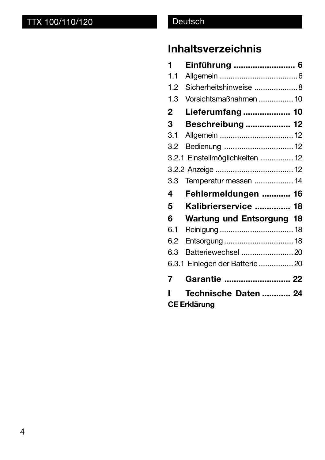# **Inhaltsverzeichnis**

| 1           | Einführung  6                    |  |
|-------------|----------------------------------|--|
| 1.1         |                                  |  |
| 1.2         | Sicherheitshinweise  8           |  |
| 1.3         | Vorsichtsmaßnahmen  10           |  |
| $\mathbf 2$ | Lieferumfang  10                 |  |
| 3           | <b>Beschreibung  12</b>          |  |
| 3.1         | Allgemein  12                    |  |
| 3.2         | Bedienung  12                    |  |
|             | 3.2.1 Einstellmöglichkeiten  12  |  |
|             |                                  |  |
| 3.3         | Temperatur messen  14            |  |
|             |                                  |  |
| 4           | Fehlermeldungen  16              |  |
| 5           | Kalibrierservice  18             |  |
| 6           | <b>Wartung und Entsorgung 18</b> |  |
| 6.1         |                                  |  |
| 6.2         | Entsorgung  18                   |  |
| 6.3         | Batteriewechsel  20              |  |
|             | 6.3.1 Einlegen der Batterie  20  |  |
| 7           | Garantie  22                     |  |
| ı           | Technische Daten  24             |  |

4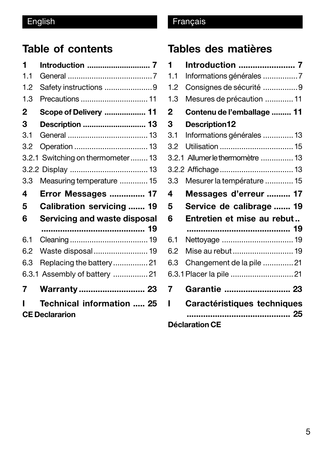# **Table of contents**

| 1           | <b>Introduction  7</b>              |  |
|-------------|-------------------------------------|--|
| 1.1         |                                     |  |
| 1.2         | Safety instructions 9               |  |
| 1.3         | Precautions  11                     |  |
| $\mathbf 2$ | Scope of Delivery  11               |  |
| 3           | Description  13                     |  |
| 3.1         |                                     |  |
| 3.2         | Operation  13                       |  |
|             | 3.2.1 Switching on thermometer  13  |  |
|             |                                     |  |
| 3.3         | Measuring temperature  15           |  |
|             |                                     |  |
| 4           | <b>Error Messages  17</b>           |  |
| 5           | Calibration servicing  19           |  |
| 6           | <b>Servicing and waste disposal</b> |  |
|             |                                     |  |
| 6.1         |                                     |  |
| 6.2         | Waste disposal  19                  |  |
| 6.3         | Replacing the battery  21           |  |
|             | 6.3.1 Assembly of battery  21       |  |
| 7           | <b>Warranty  23</b>                 |  |
| ı           | <b>Technical information  25</b>    |  |

# English **Français**

# **Tables des matières**

| 1   | <b>Introduction  7</b>           |  |
|-----|----------------------------------|--|
| 1.1 | Informations générales 7         |  |
| 1.2 | Consignes de sécurité 9          |  |
| 1.3 | Mesures de précaution  11        |  |
| 2   | Contenu de l'emballage  11       |  |
| 3   | Description12                    |  |
| 3.1 | Informations générales  13       |  |
| 3.2 | Utilisation  15                  |  |
|     | 3.2.1 Allumer le thermomètre  13 |  |
|     |                                  |  |
| 3.3 | Mesurer la température  15       |  |
| 4   | Messages d'erreur  17            |  |
|     |                                  |  |
| 5   | Service de calibrage  19         |  |
| 6   | Entretien et mise au rebut       |  |
|     |                                  |  |
| 6.1 | Nettoyage  19                    |  |
| 6.2 | Mise au rebut  19                |  |
| 6.3 | Changement de la pile 21         |  |
|     | 6.3.1 Placer la pile  21         |  |
| 7   | Garantie  23                     |  |
| ı   | Caractéristiques techniques      |  |
|     |                                  |  |

### **Déclaration CE**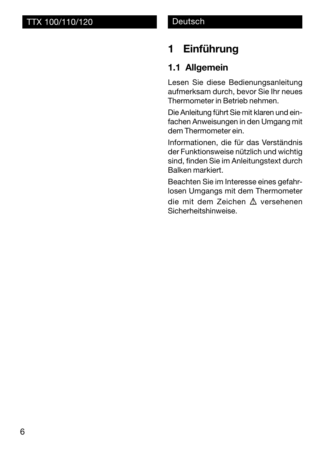# **1 Einführung**

# **1.1 Allgemein**

Lesen Sie diese Bedienungsanleitung aufmerksam durch, bevor Sie Ihr neues Thermometer in Betrieb nehmen.

Die Anleitung führt Sie mit klaren und einfachen Anweisungen in den Umgang mit dem Thermometer ein.

Informationen, die für das Verständnis der Funktionsweise nützlich und wichtig sind, finden Sie im Anleitungstext durch Balken markiert.

Beachten Sie im Interesse eines gefahrlosen Umgangs mit dem Thermometer die mit dem Zeichen  $\triangle$  versehenen Sicherheitshinweise.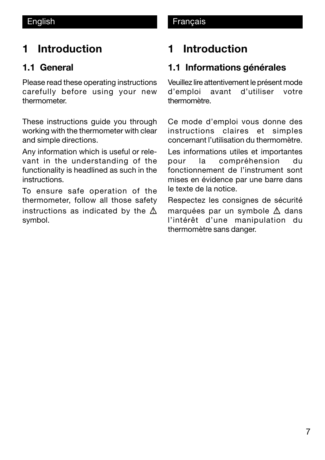# **1 Introduction**

# **1.1 General**

Please read these operating instructions carefully before using your new thermometer.

These instructions guide you through working with the thermometer with clear and simple directions.

Any information which is useful or relevant in the understanding of the functionality is headlined as such in the **instructions** 

To ensure safe operation of the thermometer, follow all those safety instructions as indicated by the  $\triangle$ symbol.

# **1 Introduction**

# **1.1 Informations générales**

Veuillez lire attentivement le présent mode d'emploi avant d'utiliser votre thermomètre.

Ce mode d'emploi vous donne des instructions claires et simples concernant l'utilisation du thermomètre. Les informations utiles et importantes pour la compréhension du fonctionnement de l'instrument sont mises en évidence par une barre dans le texte de la notice.

Respectez les consignes de sécurité marquées par un symbole  $\triangle$  dans l'intérêt d'une manipulation du thermomètre sans danger.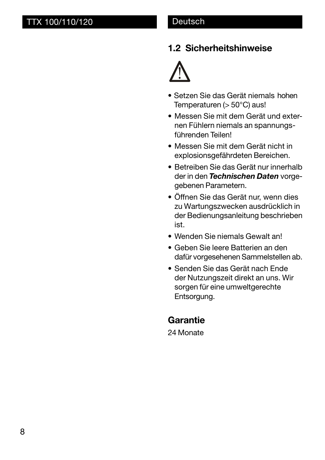### **1.2 Sicherheitshinweise**



- Setzen Sie das Gerät niemals hohen Temperaturen (> 50°C) aus!
- Messen Sie mit dem Gerät und externen Fühlern niemals an spannungsführenden Teilen!
- Messen Sie mit dem Gerät nicht in explosionsgefährdeten Bereichen.
- Betreiben Sie das Gerät nur innerhalb der in den *Technischen Daten* vorgegebenen Parametern.
- Öffnen Sie das Gerät nur, wenn dies zu Wartungszwecken ausdrücklich in der Bedienungsanleitung beschrieben ist.
- Wenden Sie niemals Gewalt an!
- Geben Sie leere Batterien an den dafür vorgesehenen Sammelstellen ab.
- Senden Sie das Gerät nach Ende der Nutzungszeit direkt an uns. Wir sorgen für eine umweltgerechte Entsorgung.

### **Garantie**

24 Monate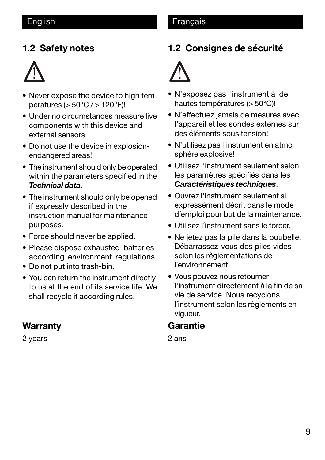### English **Français**

### **1.2 Safety notes**



- Never expose the device to high tem peratures (> 50°C / > 120°F)!
- Under no circumstances measure live components with this device and external sensors
- Do not use the device in explosionendangered areas!
- The instrument should only be operated within the parameters specified in the *Technical data*.
- The instrument should only be opened if expressly described in the instruction manual for maintenance purposes.
- Force should never be applied.
- Please dispose exhausted batteries according environment regulations.
- Do not put into trash-bin.
- You can return the instrument directly to us at the end of its service life. We shall recycle it according rules.

# **Warranty**

2 years

# **1.2 Consignes de sécurité**



- N'exposez pas l'instrument à de hautes températures (> 50°C)!
- N'effectuez jamais de mesures avec l'appareil et les sondes externes sur des éléments sous tension!
- N'utilisez pas l'instrument en atmo sphère explosive!
- Utilisez l'instrument seulement selon les paramètres spécifiés dans les *Caractéristiques techniques*.
- Ouvrez l'instrument seulement si expressément décrit dans le mode d´emploi pour but de la maintenance.
- Utilisez l´instrument sans le forcer.
- Ne jetez pas la pile dans la poubelle. Débarrassez-vous des piles vides selon les rêglementations de l´environnement.
- Vous pouvez nous retourner l'instrument directement à la fin de sa vie de service. Nous recyclons l´instrument selon les règlements en vigueur.

### **Garantie**

2 ans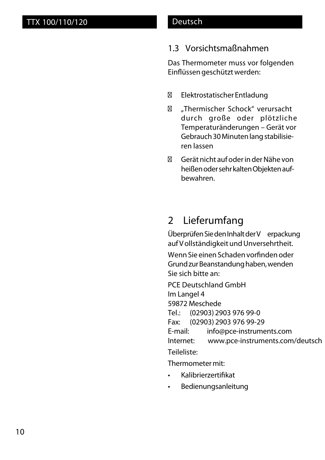### **1.3 Vorsichtsmaßnahmen**

Das Thermometer muss vor folgenden Einflüssen geschützt werden:

Elektrostatischer Entladung

"Thermischer Schock" verursacht durch große oder plötzliche Temperaturänderungen – Gerät vor Gebrauch 30 Minuten lang stabilisieren lassen

Gerät nicht auf oderinderNähe von heißenodersehrkaltenObjektenaufbewahren.

# **2 Lieferumfang**

Überprüfen Sie den Inhalt der V erpackung auf V ollständigkeit und Unversehrtheit.

Wenn Sie einen Schaden vorfinden oder Grund zur Beanstandung haben, wenden Sie sich bitte an:

**PCE Deutschland GmbH** Im Langel 4 59872 Meschede Tel.: (02903) 2903 976 99-0 Fax: (02903) 2903 976 99-29 E-mail: info@pce-instruments.com Internet: www.pce-instruments.com/deutsch *Teileliste:*

Thermometermit:

- Kalibrierzertikat
- Bedienungsanleitung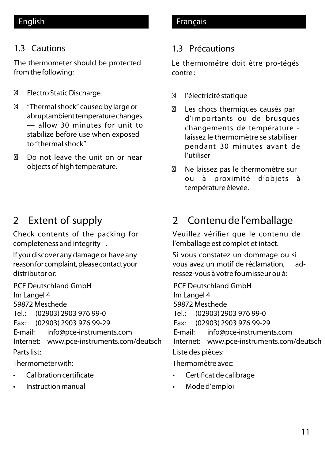### **1.3 Cautions**

The thermometer should be protected fromthe following:

### Electro Static Discharge

"Thermal shock" caused by large or abruptambient temperature changes — allow 30 minutes for unit to stabilize before use when exposed to "thermalshock".

Do not leave the unit on or near objects of high temperature.

# **2 Extent of supply**

Check contents of the packing for completeness and integrity .

If you discover any damage or have any reason for complaint, please contact your distributor or:

*Partslist:* **PCE Deutschland GmbH** Im Langel 4 59872 Meschede Tel.: (02903) 2903 976 99-0 Fax: (02903) 2903 976 99-29 E-mail: info@pce-instruments.com Internet: www.pce-instruments.com/deutsch

Thermometerwith:

- Calibration certificate
- Instructionmanual

# **1.3 Précautions**

Le thermométre doit être pro-tégés contre :

### l'électricité statique

Les chocs thermiques causés par d'importants ou de brusques changements de température laissez le thermomètre se stabiliser pendant 30 minutes avant de l'utiliser

Ne laissez pas le thermomètre sur ou à proximité d'objets à température élevée.

# **2 Contenu de l'emballage**

Veuillez vérifier que le contenu de l'emballage est complet et intact.

Si vous constatez un dommage ou si vous avez un motif de réclamation, adressez-vous à votre fournisseur ou à:

*Liste des pièces:* **PCE Deutschland GmbH** Im Langel 4 59872 Meschede Tel.: (02903) 2903 976 99-0 Fax: (02903) 2903 976 99-29 E-mail: info@pce-instruments.com Internet: www.pce-instruments.com/deutsch

Thermomètre avec:

- Certificat de calibrage
- Mode d'emploi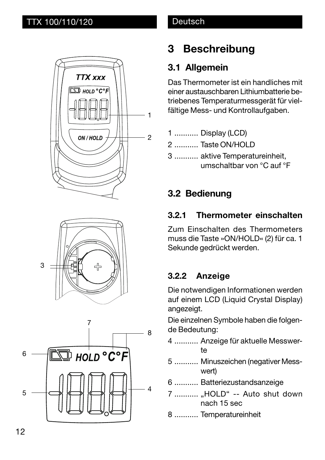





### **Deutsch**

# **3 Beschreibung**

# **3.1 Allgemein**

Das Thermometer ist ein handliches mit einer austauschbaren Lithiumbatterie betriebenes Temperaturmessgerät für vielfältige Mess- und Kontrollaufgaben.

- 1 ........... Display (LCD)
- 2 ........... Taste ON/HOLD
- 3 ........... aktive Temperatureinheit, umschaltbar von °C auf °F

# **3.2 Bedienung**

# **3.2.1 Thermometer einschalten**

Zum Einschalten des Thermometers muss die Taste »ON/HOLD« (2) für ca. 1 Sekunde gedrückt werden.

# **3.2.2 Anzeige**

Die notwendigen Informationen werden auf einem LCD (Liquid Crystal Display) angezeigt.

Die einzelnen Symbole haben die folgende Bedeutung:

- 4 ........... Anzeige für aktuelle Messwerte
- 5 ........... Minuszeichen (negativer Messwert)
- 6 ........... Batteriezustandsanzeige
- 7 ........... "HOLD" -- Auto shut down nach 15 sec
- 8 ........... Temperatureinheit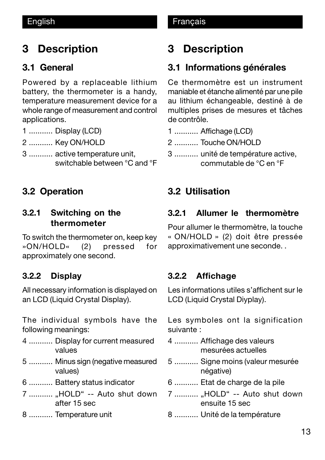# **3 Description**

### **3.1 General**

Powered by a replaceable lithium battery, the thermometer is a handy, temperature measurement device for a whole range of measurement and control applications.

- 1 ........... Display (LCD)
- 2 ........... Key ON/HOLD
- 3 ........... active temperature unit, switchable between °C and °F

# **3.2 Operation**

### **3.2.1 Switching on the thermometer**

To switch the thermometer on, keep key »ON/HOLD« (2) pressed for approximately one second.

### **3.2.2 Display**

All necessary information is displayed on an LCD (Liquid Crystal Display).

The individual symbols have the following meanings:

- 4 ........... Display for current measured values
- 5 ........... Minus sign (negative measured values)
- 6 ........... Battery status indicator
- 7 ........... "HOLD" -- Auto shut down after 15 sec
- 8 ........... Temperature unit

# **3 Description**

# **3.1 Informations générales**

Ce thermomètre est un instrument maniable et étanche alimenté par une pile au lithium échangeable, destiné à de multiples prises de mesures et tâches de contrôle.

- 1 ........... Affichage (LCD)
- 2 ........... Touche ON/HOLD
- 3 ........... unité de température active, commutable de °C en °F

# **3.2 Utilisation**

### **3.2.1 Allumer le thermomètre**

Pour allumer le thermomètre, la touche « ON/HOLD » (2) doit être pressée approximativement une seconde. .

### **3.2.2 Affichage**

Les informations utiles s'affichent sur le LCD (Liquid Crystal Diyplay).

Les symboles ont la signification suivante :

- 4 ........... Affichage des valeurs mesurées actuelles
- 5 ........... Signe moins (valeur mesurée négative)
- 6 ........... Etat de charge de la pile
- 7 ........... "HOLD" -- Auto shut down ensuite 15 sec
- 8 ........... Unité de la température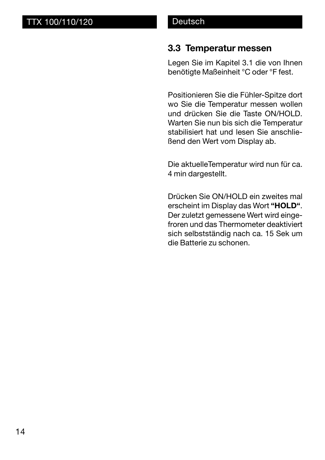### **3.3 Temperatur messen**

Legen Sie im Kapitel 3.1 die von Ihnen benötigte Maßeinheit °C oder °F fest.

Positionieren Sie die Fühler-Spitze dort wo Sie die Temperatur messen wollen und drücken Sie die Taste ON/HOLD. Warten Sie nun bis sich die Temperatur stabilisiert hat und lesen Sie anschließend den Wert vom Display ab.

Die aktuelleTemperatur wird nun für ca. 4 min dargestellt.

Drücken Sie ON/HOLD ein zweites mal erscheint im Display das Wort **"HOLD"**. Der zuletzt gemessene Wert wird eingefroren und das Thermometer deaktiviert sich selbstständig nach ca. 15 Sek um die Batterie zu schonen.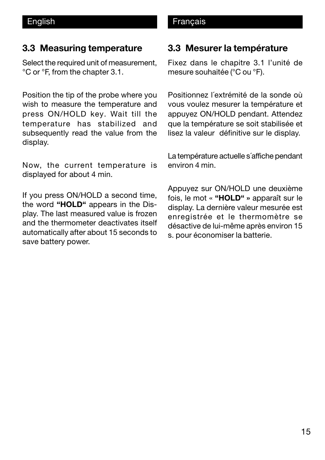### **3.3 Measuring temperature**

Select the required unit of measurement, °C or °F, from the chapter 3.1.

Position the tip of the probe where you wish to measure the temperature and press ON/HOLD key. Wait till the temperature has stabilized and subsequently read the value from the display.

Now, the current temperature is displayed for about 4 min.

If you press ON/HOLD a second time, the word **"HOLD"** appears in the Display. The last measured value is frozen and the thermometer deactivates itself automatically after about 15 seconds to save battery power.

### **3.3 Mesurer la température**

Fixez dans le chapitre 3.1 l'unité de mesure souhaitée (°C ou °F).

Positionnez l´extrémité de la sonde où vous voulez mesurer la température et appuyez ON/HOLD pendant. Attendez que la température se soit stabilisée et lisez la valeur définitive sur le display.

La température actuelle s´affiche pendant environ 4 min.

Appuyez sur ON/HOLD une deuxième fois, le mot « **"HOLD" »** apparaît sur le display. La dernière valeur mesurée est enregistrée et le thermomètre se désactive de lui-même après environ 15 s. pour économiser la batterie.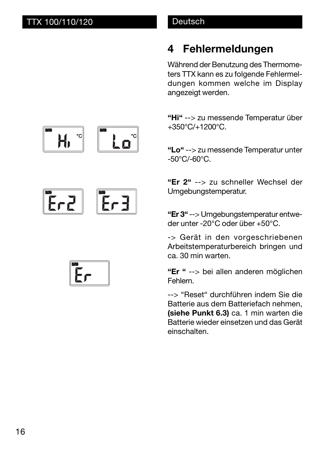#### Deutsch

# **4 Fehlermeldungen**

Während der Benutzung des Thermometers TTX kann es zu folgende Fehlermeldungen kommen welche im Display angezeigt werden.

**"Hi"** --> zu messende Temperatur über +350°C/+1200°C.

**"Lo"** --> zu messende Temperatur unter -50°C/-60°C.

**"Er 2"** --> zu schneller Wechsel der Umgebungstemperatur.

**"Er 3"** --> Umgebungstemperatur entweder unter -20°C oder über +50°C.

-> Gerät in den vorgeschriebenen Arbeitstemperaturbereich bringen und ca. 30 min warten.

**"Er "** --> bei allen anderen möglichen Fehlern.

--> "Reset" durchführen indem Sie die Batterie aus dem Batteriefach nehmen, **(siehe Punkt 6.3)** ca. 1 min warten die Batterie wieder einsetzen und das Gerät einschalten.

"<br>| La  $H^{\circ}$ 

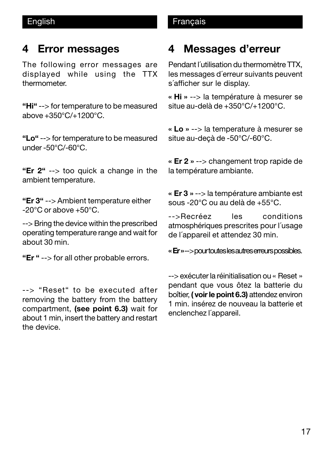### **4 Error messages**

The following error messages are displayed while using the TTX thermometer.

**"Hi"** --> for temperature to be measured above +350°C/+1200°C.

**"Lo"** --> for temperature to be measured under -50°C/-60°C.

**"Er 2"** --> too quick a change in the ambient temperature.

**"Er 3"** --> Ambient temperature either -20°C or above +50°C.

--> Bring the device within the prescribed operating temperature range and wait for about 30 min.

**"Er "** --> for all other probable errors.

--> "Reset" to be executed after removing the battery from the battery compartment, **(see point 6.3)** wait for about 1 min, insert the battery and restart the device.

# **4 Messages d'erreur**

Pendant l´utilisation du thermomètre TTX, les messages d´erreur suivants peuvent s´afficher sur le display.

**« Hi »** --> la température à mesurer se situe au-delà de +350°C/+1200°C.

**« Lo »** --> la temperature à mesurer se situe au-deçà de -50°C/-60°C.

**« Er 2 »** --> changement trop rapide de la température ambiante.

**« Er 3 »** --> la température ambiante est sous -20°C ou au delà de +55°C.

-->Recréez les conditions atmosphériques prescrites pour l´usage de l´appareil et attendez 30 min.

**« Er »** --> pour toutes les autres erreurs possibles.

--> exécuter la réinitialisation ou « Reset » pendant que vous ôtez la batterie du boîtier, **( voir le point 6.3)** attendez environ 1 min. insérez de nouveau la batterie et enclenchez l´appareil.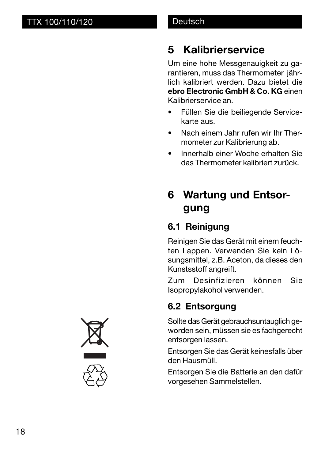# **5 Kalibrierservice**

Um eine hohe Messgenauigkeit zu garantieren, muss das Thermometer jährlich kalibriert werden. Dazu bietet die **ebro Electronic GmbH & Co. KG** einen Kalibrierservice an.

- Füllen Sie die beiliegende Servicekarte aus.
- Nach einem Jahr rufen wir Ihr Thermometer zur Kalibrierung ab.
- Innerhalb einer Woche erhalten Sie das Thermometer kalibriert zurück.

# **6 Wartung und Entsorgung**

# **6.1 Reinigung**

Reinigen Sie das Gerät mit einem feuchten Lappen. Verwenden Sie kein Lösungsmittel, z.B. Aceton, da dieses den Kunstsstoff angreift.

Zum Desinfizieren können Sie Isopropylakohol verwenden.

# **6.2 Entsorgung**

Sollte das Gerät gebrauchsuntauglich geworden sein, müssen sie es fachgerecht entsorgen lassen.

Entsorgen Sie das Gerät keinesfalls über den Hausmüll.

Entsorgen Sie die Batterie an den dafür vorgesehen Sammelstellen.

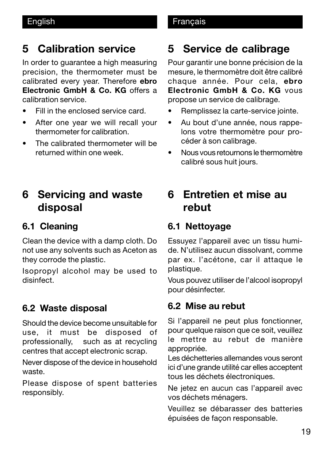# **5 Calibration service**

In order to guarantee a high measuring precision, the thermometer must be calibrated every year. Therefore **ebro Electronic GmbH & Co. KG** offers a calibration service.

- Fill in the enclosed service card.
- After one year we will recall your thermometer for calibration.
- The calibrated thermometer will be returned within one week.

# **6 Servicing and waste disposal**

# **6.1 Cleaning**

Clean the device with a damp cloth. Do not use any solvents such as Aceton as they corrode the plastic.

Isopropyl alcohol may be used to disinfect.

# **6.2 Waste disposal**

Should the device become unsuitable for use, it must be disposed of professionally, such as at recycling centres that accept electronic scrap.

Never dispose of the device in household waste.

Please dispose of spent batteries responsibly.

# **5 Service de calibrage**

Pour garantir une bonne précision de la mesure, le thermomètre doit être calibré chaque année. Pour cela, **ebro Electronic GmbH & Co. KG** vous propose un service de calibrage.

- Remplissez la carte-service jointe.
- Au bout d'une année, nous rappelons votre thermomètre pour procéder à son calibrage.
- Nous vous retournons le thermomètre calibré sous huit jours.

# **6 Entretien et mise au rebut**

# **6.1 Nettoyage**

Essuyez l'appareil avec un tissu humide. N'utilisez aucun dissolvant, comme par ex. l'acétone, car il attaque le plastique.

Vous pouvez utiliser de l'alcool isopropyl pour désinfecter.

# **6.2 Mise au rebut**

Si l'appareil ne peut plus fonctionner, pour quelque raison que ce soit, veuillez le mettre au rebut de manière appropriée.

Les déchetteries allemandes vous seront ici d'une grande utilité car elles acceptent tous les déchets électroniques.

Ne jetez en aucun cas l'appareil avec vos déchets ménagers.

Veuillez se débarasser des batteries épuisées de façon responsable.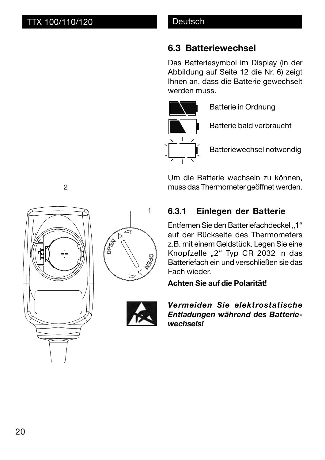### **6.3 Batteriewechsel**

Das Batteriesymbol im Display (in der Abbildung auf Seite 12 die Nr. 6) zeigt Ihnen an, dass die Batterie gewechselt werden muss.



Um die Batterie wechseln zu können, muss das Thermometer geöffnet werden.

### **6.3.1 Einlegen der Batterie**

Entfernen Sie den Batteriefachdeckel "1" auf der Rückseite des Thermometers z.B. mit einem Geldstück. Legen Sie eine Knopfzelle "2" Typ CR 2032 in das Batteriefach ein und verschließen sie das Fach wieder.

#### **Achten Sie auf die Polarität!**

*Vermeiden Sie elektrostatische Entladungen während des Batteriewechsels!*



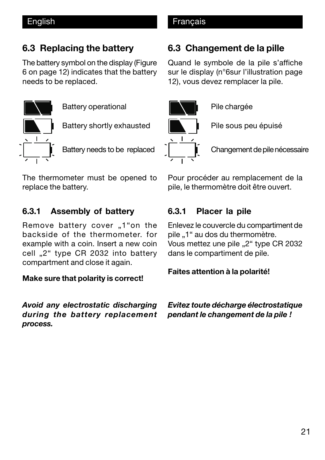### **6.3 Replacing the battery**

The battery symbol on the display (Figure 6 on page 12) indicates that the battery needs to be replaced.



The thermometer must be opened to replace the battery.

### **6.3.1 Assembly of battery**

Remove battery cover "1"on the backside of the thermometer. for example with a coin. Insert a new coin cell "2" type CR 2032 into battery compartment and close it again.

#### **Make sure that polarity is correct!**

*Avoid any electrostatic discharging during the battery replacement process.*

#### English **Français Français**

#### **6.3 Changement de la pille**

Quand le symbole de la pile s'affiche sur le display (n°6sur l'illustration page 12), vous devez remplacer la pile.



Pour procéder au remplacement de la pile, le thermomètre doit être ouvert.

#### **6.3.1 Placer la pile**

Enlevez le couvercle du compartiment de pile "1" au dos du thermomètre. Vous mettez une pile "2" type CR 2032 dans le compartiment de pile.

#### **Faites attention à la polarité!**

*Evitez toute décharge électrostatique pendant le changement de la pile !*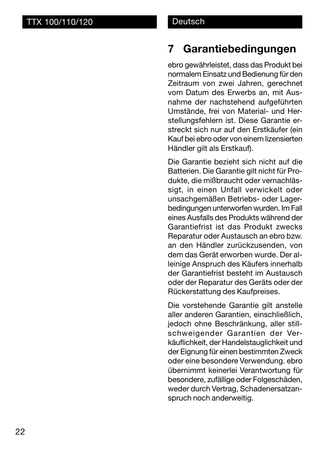# **7 Garantiebedingungen**

ebro gewährleistet, dass das Produkt bei normalem Einsatz und Bedienung für den Zeitraum von zwei Jahren, gerechnet vom Datum des Erwerbs an, mit Ausnahme der nachstehend aufgeführten Umstände, frei von Material- und Herstellungsfehlern ist. Diese Garantie erstreckt sich nur auf den Erstkäufer (ein Kauf bei ebro oder von einem lizensierten Händler gilt als Erstkauf).

Die Garantie bezieht sich nicht auf die Batterien. Die Garantie gilt nicht für Produkte, die mißbraucht oder vernachlässigt, in einen Unfall verwickelt oder unsachgemäßen Betriebs- oder Lagerbedingungen unterworfen wurden. Im Fall eines Ausfalls des Produkts während der Garantiefrist ist das Produkt zwecks Reparatur oder Austausch an ebro bzw. an den Händler zurückzusenden, von dem das Gerät erworben wurde. Der alleinige Anspruch des Käufers innerhalb der Garantiefrist besteht im Austausch oder der Reparatur des Geräts oder der Rückerstattung des Kaufpreises.

Die vorstehende Garantie gilt anstelle aller anderen Garantien, einschließlich, jedoch ohne Beschränkung, aller stillschweigender Garantien der Verkäuflichkeit, der Handelstauglichkeit und der Eignung für einen bestimmten Zweck oder eine besondere Verwendung. ebro übernimmt keinerlei Verantwortung für besondere, zufällige oder Folgeschäden, weder durch Vertrag, Schadenersatzanspruch noch anderweitig.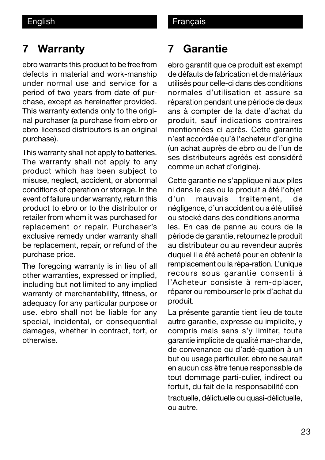# **7 Warranty**

ebro warrants this product to be free from defects in material and work-manship under normal use and service for a period of two years from date of purchase, except as hereinafter provided. This warranty extends only to the original purchaser (a purchase from ebro or ebro-licensed distributors is an original purchase).

This warranty shall not apply to batteries. The warranty shall not apply to any product which has been subject to misuse, neglect, accident, or abnormal conditions of operation or storage. In the event of failure under warranty, return this product to ebro or to the distributor or retailer from whom it was purchased for replacement or repair. Purchaser's exclusive remedy under warranty shall be replacement, repair, or refund of the purchase price.

The foregoing warranty is in lieu of all other warranties, expressed or implied, including but not limited to any implied warranty of merchantability, fitness, or adequacy for any particular purpose or use. ebro shall not be liable for any special, incidental, or consequential damages, whether in contract, tort, or otherwise.

# **7 Garantie**

ebro garantit que ce produit est exempt de défauts de fabrication et de matériaux utilisés pour celle-ci dans des conditions normales d'utilisation et assure sa réparation pendant une période de deux ans à compter de la date d'achat du produit, sauf indications contraires mentionnées ci-après. Cette garantie n'est accordée qu'à l'acheteur d'origine (un achat auprès de ebro ou de l'un de ses distributeurs agréés est considéré comme un achat d'origine).

Cette garantie ne s'applique ni aux piles ni dans le cas ou le produit a été l'objet d'un mauvais traitement, de négligence, d'un accident ou a été utilisé ou stocké dans des conditions anormales. En cas de panne au cours de la période de garantie, retournez le produit au distributeur ou au revendeur auprès duquel il a été acheté pour en obtenir le remplacement ou la répa-ration. L'unique recours sous garantie consenti à l'Acheteur consiste à rem-dplacer, réparer ou rembourser le prix d'achat du produit.

La présente garantie tient lieu de toute autre garantie, expresse ou implicite, y compris mais sans s'y limiter, toute garantie implicite de qualité mar-chande, de convenance ou d'adé-quation à un but ou usage particulier. ebro ne saurait en aucun cas être tenue responsable de tout dommage parti-culier, indirect ou fortuit, du fait de la responsabilité contractuelle, délictuelle ou quasi-délictuelle, ou autre.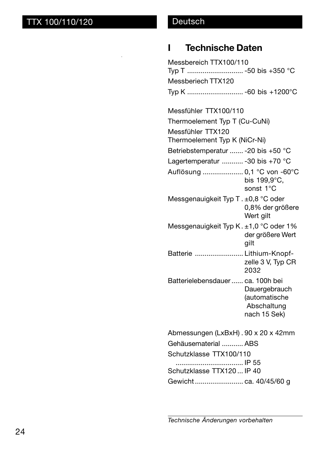#### Deutsch

### **I Technische Daten**

Messbereich TTX100/110 Typ T ............................. -50 bis +350 °C Messberiech TTX120 Typ K ............................. -60 bis +1200°C Messfühler TTX100/110 Thermoelement Typ T (Cu-CuNi) Messfühler TTX120 Thermoelement Typ K (NiCr-Ni) Betriebstemperatur .......-20 bis +50 °C Lagertemperatur ........... -30 bis +70 °C Auflösung ..................... 0,1 °C von -60°C bis 199,9°C, sonst 1°C Messgenauigkeit Typ T . ±0,8 °C oder 0,8% der größere Wert gilt Messgenauigkeit Typ K. ±1,0 °C oder 1% der größere Wert gilt Batterie ......................... Lithium-Knopfzelle 3 V, Typ CR 2032 Batterielebensdauer...... ca. 100h bei **Dauergebrauch** (automatische Abschaltung nach 15 Sek) Abmessungen (LxBxH) . 90 x 20 x 42mm

Gehäusematerial ........... ABS Schutzklasse TTX100/110 ................................... IP 55 Schutzklasse TTX120 ... IP 40 Gewicht......................... ca. 40/45/60 g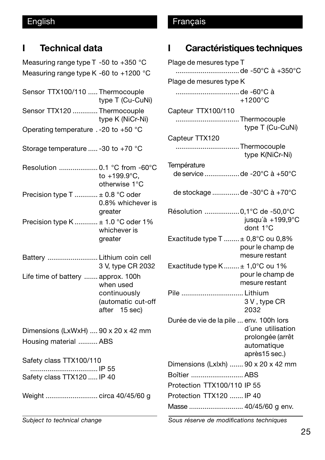### **I Technical data**

Measuring range type T -50 to +350 °C Measuring range type K -60 to +1200 °C

| Sensor TTX100/110  Thermocouple           | type T (Cu-CuNi) |
|-------------------------------------------|------------------|
| Sensor TTX120 Thermocouple                | type K (NiCr-Ni) |
| Operating temperature $. -20$ to $+50$ °C |                  |
|                                           |                  |

Storage temperature .....-30 to +70 °C

- Resolution .................... 0.1 °C from -60°C to +199.9°C, otherwise 1°C
- Precision type T ............ ± 0.8 °C oder 0.8% whichever is greater
- Precision type K ............ ± 1.0 °C oder 1% whichever is greater
- Battery .......................... Lithium coin cell 3 V, type CR 2032

Life time of battery ....... approx. 100h when used continuously (automatic cut-off after 15 sec)

Dimensions (LxWxH) .... 90 x 20 x 42 mm Housing material .......... ABS

Safety class TTX100/110

................................... IP 55 Safety class TTX120 ..... IP 40

Weight ........................... circa 40/45/60 g

English **Français Français** 

### **I Caractéristiques techniques**

Plage de mesures type T .................................de -50°C à +350°C Plage de mesures type K .................................de -60°C à  $+1200^{\circ}$ C Capteur TTX100/110 .................................Thermocouple type T (Cu-CuNi) Capteur TTX120 .................................Thermocouple type K(NiCr-Ni) **Température** de service ..................de -20°C à +50°C de stockage ..............de -30°C à +70°C Résolution ..................0,1°C de -50,0°C iusqu'à  $+199.9^{\circ}$ C dont 1°C Exactitude type T ........± 0,8°C ou 0,8% pour le champ de mesure restant Exactitude type K........± 1,0°C ou 1% pour le champ de mesure restant Pile ................................ Lithium 3 V , type CR 2032 Durée de vie de la pile ... env. 100h lors d´une utilisation prolongée (arrêt automatique après15 sec.) Dimensions (Lxlxh) ....... 90 x 20 x 42 mm Boîtier ........................... ABS Protection TTX100/110 IP 55 Protection TTX120 ....... IP 40 Masse ................................. 40/45/60 g env.

*Subject to technical change Sous réserve de modifications techniques*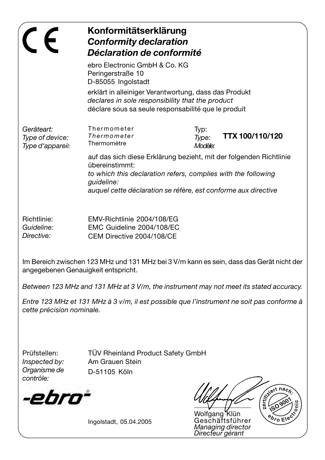|                                                   | Konformitätserklärung<br><b>Conformity declaration</b><br>Déclaration de conformité |                                                                                                                                                                                                       |
|---------------------------------------------------|-------------------------------------------------------------------------------------|-------------------------------------------------------------------------------------------------------------------------------------------------------------------------------------------------------|
|                                                   | ebro Electronic GmbH & Co. KG<br>Peringerstraße 10<br>D-85055 Ingolstadt            |                                                                                                                                                                                                       |
|                                                   | declares in sole responsibility that the product                                    | erklärt in alleiniger Verantwortung, dass das Produkt<br>déclare sous sa seule responsabilité que le produit                                                                                          |
| Geräteart:<br>Type of device:<br>Type d'appareil: | Thermometer<br>Thermometer<br>Thermomètre                                           | Typ:<br>TTX 100/110/120<br>Type:<br>Modèle:                                                                                                                                                           |
|                                                   | übereinstimmt:<br>quideline:                                                        | auf das sich diese Erklärung bezieht, mit der folgenden Richtlinie<br>to which this declaration refers, complies with the following<br>auquel cette déclaration se réfère, est conforme aux directive |
|                                                   |                                                                                     |                                                                                                                                                                                                       |
| Richtlinie:<br>Guideline:<br>Directive:           | EMV-Richtlinie 2004/108/EG<br>EMC Guideline 2004/108/EC                             |                                                                                                                                                                                                       |
|                                                   | CEM Directive 2004/108/CE                                                           | Im Bereich zwischen 123 MHz und 131 MHz bei 3 V/m kann es sein, dass das Gerät nicht der                                                                                                              |

angegebenen Genauigkeit entspricht.

*Between 123 MHz and 131 MHz at 3 V/m, the instrument may not meet its stated accuracy.*

*Entre 123 MHz et 131 MHz à 3 v/m, il est possible que l'instrument ne soit pas conforme à cette précision nominale.*

Prüfstellen: *Inspected by: Organisme de contrôle:*

TÜV Rheinland Product Safety GmbH Am Grauen Stein D-51105 Köln

-ebro

Ingolstadt, 05.04.2005

**Kitchest Ray** 

**Obro Ele** 

Wolfgang Klün Geschäftsführer *Managing director Directeur gérant*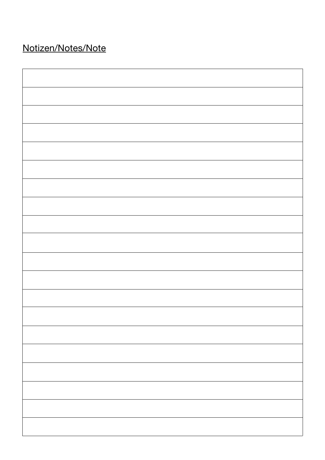# Notizen/Notes/Note